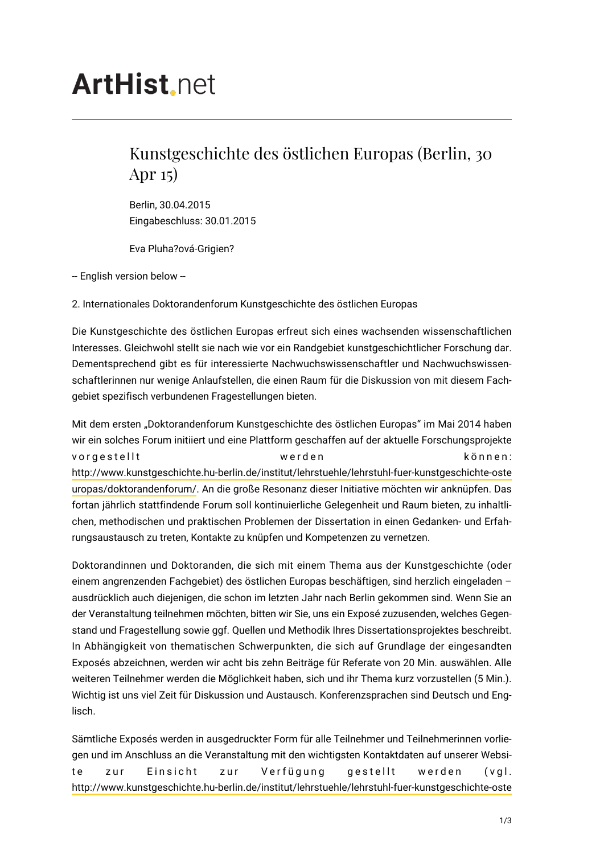## **ArtHist**, net

## Kunstgeschichte des östlichen Europas (Berlin, 30 Apr 15)

Berlin, 30.04.2015 Eingabeschluss: 30.01.2015

Eva Pluha?ová-Grigien?

-- English version below --

2. Internationales Doktorandenforum Kunstgeschichte des östlichen Europas

Die Kunstgeschichte des östlichen Europas erfreut sich eines wachsenden wissenschaftlichen Interesses. Gleichwohl stellt sie nach wie vor ein Randgebiet kunstgeschichtlicher Forschung dar. Dementsprechend gibt es für interessierte Nachwuchswissenschaftler und Nachwuchswissenschaftlerinnen nur wenige Anlaufstellen, die einen Raum für die Diskussion von mit diesem Fachgebiet spezifisch verbundenen Fragestellungen bieten.

Mit dem ersten "Doktorandenforum Kunstgeschichte des östlichen Europas" im Mai 2014 haben wir ein solches Forum initiiert und eine Plattform geschaffen auf der aktuelle Forschungsprojekte vorgestellt werden können: [http://www.kunstgeschichte.hu-berlin.de/institut/lehrstuehle/lehrstuhl-fuer-kunstgeschichte-oste](http://www.kunstgeschichte.hu-berlin.de/institut/lehrstuehle/lehrstuhl-fuer-kunstgeschichte-osteuropas/doktorandenforum/) [uropas/doktorandenforum/.](http://www.kunstgeschichte.hu-berlin.de/institut/lehrstuehle/lehrstuhl-fuer-kunstgeschichte-osteuropas/doktorandenforum/) An die große Resonanz dieser Initiative möchten wir anknüpfen. Das fortan jährlich stattfindende Forum soll kontinuierliche Gelegenheit und Raum bieten, zu inhaltlichen, methodischen und praktischen Problemen der Dissertation in einen Gedanken- und Erfahrungsaustausch zu treten, Kontakte zu knüpfen und Kompetenzen zu vernetzen.

Doktorandinnen und Doktoranden, die sich mit einem Thema aus der Kunstgeschichte (oder einem angrenzenden Fachgebiet) des östlichen Europas beschäftigen, sind herzlich eingeladen – ausdrücklich auch diejenigen, die schon im letzten Jahr nach Berlin gekommen sind. Wenn Sie an der Veranstaltung teilnehmen möchten, bitten wir Sie, uns ein Exposé zuzusenden, welches Gegenstand und Fragestellung sowie ggf. Quellen und Methodik Ihres Dissertationsprojektes beschreibt. In Abhängigkeit von thematischen Schwerpunkten, die sich auf Grundlage der eingesandten Exposés abzeichnen, werden wir acht bis zehn Beiträge für Referate von 20 Min. auswählen. Alle weiteren Teilnehmer werden die Möglichkeit haben, sich und ihr Thema kurz vorzustellen (5 Min.). Wichtig ist uns viel Zeit für Diskussion und Austausch. Konferenzsprachen sind Deutsch und Englisch.

Sämtliche Exposés werden in ausgedruckter Form für alle Teilnehmer und Teilnehmerinnen vorliegen und im Anschluss an die Veranstaltung mit den wichtigsten Kontaktdaten auf unserer Website zur Einsicht zur Verfügung gestellt werden (vgl. [http://www.kunstgeschichte.hu-berlin.de/institut/lehrstuehle/lehrstuhl-fuer-kunstgeschichte-oste](http://www.kunstgeschichte.hu-berlin.de/institut/lehrstuehle/lehrstuhl-fuer-kunstgeschichte-osteuropas/doktorandenforum/)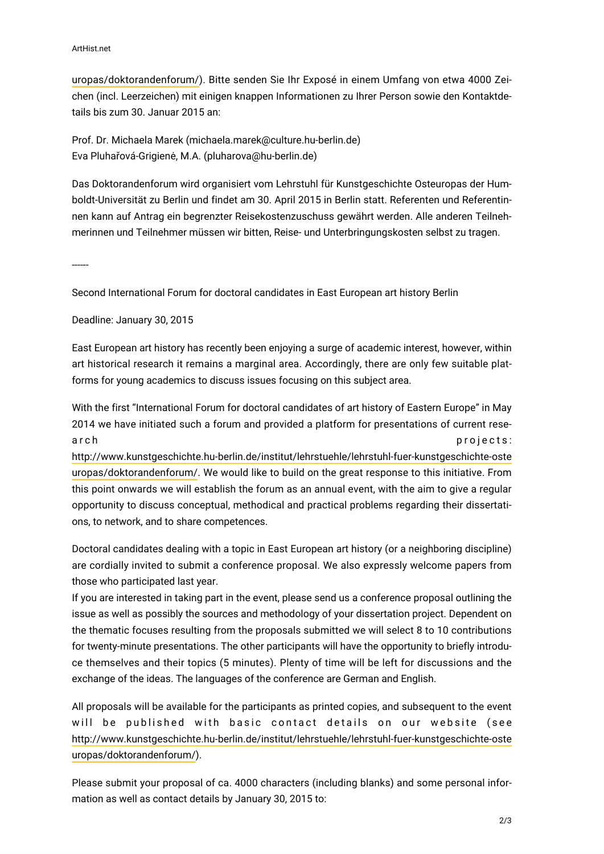[uropas/doktorandenforum/](http://www.kunstgeschichte.hu-berlin.de/institut/lehrstuehle/lehrstuhl-fuer-kunstgeschichte-osteuropas/doktorandenforum/)). Bitte senden Sie Ihr Exposé in einem Umfang von etwa 4000 Zeichen (incl. Leerzeichen) mit einigen knappen Informationen zu Ihrer Person sowie den Kontaktdetails bis zum 30. Januar 2015 an:

Prof. Dr. Michaela Marek (michaela.marek@culture.hu-berlin.de) Eva Pluhařová-Grigienė, M.A. (pluharova@hu-berlin.de)

Das Doktorandenforum wird organisiert vom Lehrstuhl für Kunstgeschichte Osteuropas der Humboldt-Universität zu Berlin und findet am 30. April 2015 in Berlin statt. Referenten und Referentinnen kann auf Antrag ein begrenzter Reisekostenzuschuss gewährt werden. Alle anderen Teilnehmerinnen und Teilnehmer müssen wir bitten, Reise- und Unterbringungskosten selbst zu tragen.

------

Second International Forum for doctoral candidates in East European art history Berlin

Deadline: January 30, 2015

East European art history has recently been enjoying a surge of academic interest, however, within art historical research it remains a marginal area. Accordingly, there are only few suitable platforms for young academics to discuss issues focusing on this subject area.

With the first "International Forum for doctoral candidates of art history of Eastern Europe" in May 2014 we have initiated such a forum and provided a platform for presentations of current research projects:

[http://www.kunstgeschichte.hu-berlin.de/institut/lehrstuehle/lehrstuhl-fuer-kunstgeschichte-oste](http://www.kunstgeschichte.hu-berlin.de/institut/lehrstuehle/lehrstuhl-fuer-kunstgeschichte-osteuropas/doktorandenforum/) [uropas/doktorandenforum/](http://www.kunstgeschichte.hu-berlin.de/institut/lehrstuehle/lehrstuhl-fuer-kunstgeschichte-osteuropas/doktorandenforum/). We would like to build on the great response to this initiative. From this point onwards we will establish the forum as an annual event, with the aim to give a regular opportunity to discuss conceptual, methodical and practical problems regarding their dissertations, to network, and to share competences.

Doctoral candidates dealing with a topic in East European art history (or a neighboring discipline) are cordially invited to submit a conference proposal. We also expressly welcome papers from those who participated last year.

If you are interested in taking part in the event, please send us a conference proposal outlining the issue as well as possibly the sources and methodology of your dissertation project. Dependent on the thematic focuses resulting from the proposals submitted we will select 8 to 10 contributions for twenty-minute presentations. The other participants will have the opportunity to briefly introduce themselves and their topics (5 minutes). Plenty of time will be left for discussions and the exchange of the ideas. The languages of the conference are German and English.

All proposals will be available for the participants as printed copies, and subsequent to the event will be published with basic contact details on our website (see [http://www.kunstgeschichte.hu-berlin.de/institut/lehrstuehle/lehrstuhl-fuer-kunstgeschichte-oste](http://www.kunstgeschichte.hu-berlin.de/institut/lehrstuehle/lehrstuhl-fuer-kunstgeschichte-osteuropas/doktorandenforum/) [uropas/doktorandenforum/\)](http://www.kunstgeschichte.hu-berlin.de/institut/lehrstuehle/lehrstuhl-fuer-kunstgeschichte-osteuropas/doktorandenforum/).

Please submit your proposal of ca. 4000 characters (including blanks) and some personal information as well as contact details by January 30, 2015 to: